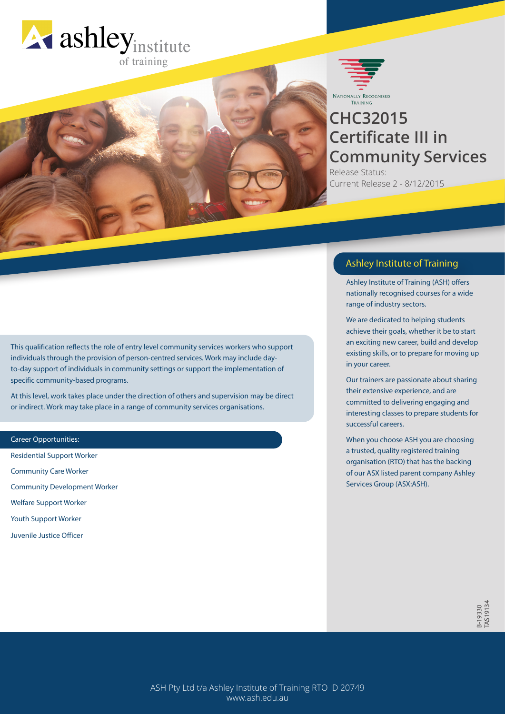



# **CHC32015 Certificate III in Community Services**

Release Status: Current Release 2 - 8/12/2015

# This qualification reflects the role of entry level community services workers who support individuals through the provision of person-centred services. Work may include dayto-day support of individuals in community settings or support the implementation of specific community-based programs.

At this level, work takes place under the direction of others and supervision may be direct or indirect. Work may take place in a range of community services organisations.

#### Career Opportunities:

Residential Support Worker Community Care Worker Community Development Worker Welfare Support Worker Youth Support Worker Juvenile Justice Officer

# Ashley Institute of Training

Ashley Institute of Training (ASH) offers nationally recognised courses for a wide range of industry sectors.

We are dedicated to helping students achieve their goals, whether it be to start an exciting new career, build and develop existing skills, or to prepare for moving up in your career.

Our trainers are passionate about sharing their extensive experience, and are committed to delivering engaging and interesting classes to prepare students for successful careers.

When you choose ASH you are choosing a trusted, quality registered training organisation (RTO) that has the backing of our ASX listed parent company Ashley Services Group (ASX:ASH).